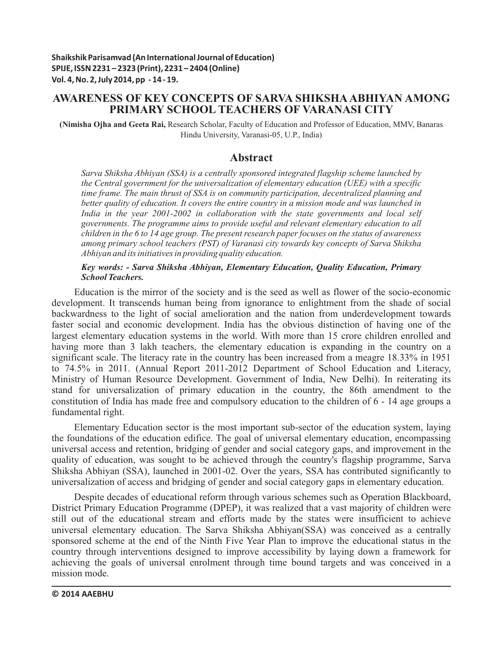# **AWARENESS OF KEY CONCEPTS OF SARVA SHIKSHAABHIYAN AMONG PRIMARY SCHOOL TEACHERS OF VARANASI CITY**

**(Nimisha Ojha and Geeta Rai,** Research Scholar, Faculty of Education and Professor of Education, MMV, Banaras Hindu University, Varanasi-05, U.P., India)

# **Abstract**

*Sarva Shiksha Abhiyan (SSA) is a centrally sponsored integrated flagship scheme launched by the Central government for the universalization of elementary education (UEE) with a specific time frame. The main thrust of SSA is on community participation, decentralized planning and better quality of education. It covers the entire country in a mission mode and was launched in India in the year 2001-2002 in collaboration with the state governments and local self governments. The programme aims to provide useful and relevant elementary education to all children in the 6 to 14 age group. The present research paper focuses on the status of awareness among primary school teachers (PST) of Varanasi city towards key concepts of Sarva Shiksha Abhiyan and its initiatives in providing quality education.* 

#### *Key words: - Sarva Shiksha Abhiyan, Elementary Education, Quality Education, Primary School Teachers.*

Education is the mirror of the society and is the seed as well as flower of the socio-economic development. It transcends human being from ignorance to enlightment from the shade of social backwardness to the light of social amelioration and the nation from underdevelopment towards faster social and economic development. India has the obvious distinction of having one of the largest elementary education systems in the world. With more than 15 crore children enrolled and having more than 3 lakh teachers, the elementary education is expanding in the country on a significant scale. The literacy rate in the country has been increased from a meagre 18.33% in 1951 to 74.5% in 2011. (Annual Report 2011-2012 Department of School Education and Literacy, Ministry of Human Resource Development. Government of India, New Delhi). In reiterating its stand for universalization of primary education in the country, the 86th amendment to the constitution of India has made free and compulsory education to the children of 6 - 14 age groups a fundamental right.

Elementary Education sector is the most important sub-sector of the education system, laying the foundations of the education edifice. The goal of universal elementary education, encompassing universal access and retention, bridging of gender and social category gaps, and improvement in the quality of education, was sought to be achieved through the country's flagship programme, Sarva Shiksha Abhiyan (SSA), launched in 2001-02. Over the years, SSA has contributed significantly to universalization of access and bridging of gender and social category gaps in elementary education.

Despite decades of educational reform through various schemes such as Operation Blackboard, District Primary Education Programme (DPEP), it was realized that a vast majority of children were still out of the educational stream and efforts made by the states were insufficient to achieve universal elementary education. The Sarva Shiksha Abhiyan(SSA) was conceived as a centrally sponsored scheme at the end of the Ninth Five Year Plan to improve the educational status in the country through interventions designed to improve accessibility by laying down a framework for achieving the goals of universal enrolment through time bound targets and was conceived in a mission mode.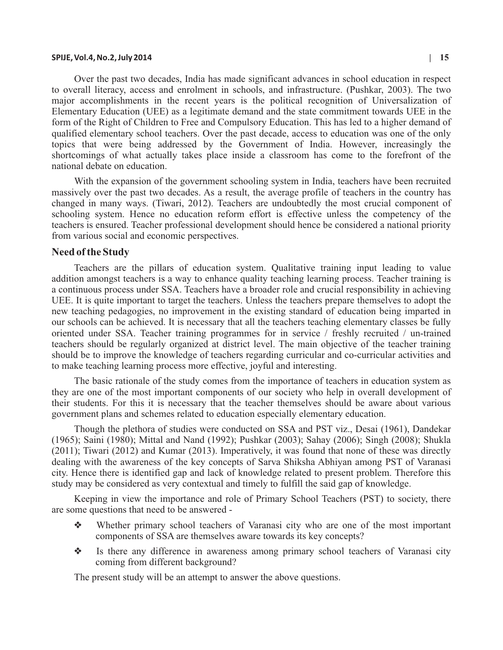#### **SPIJE, Vol.4, No.2, July 2014 | 15**

Over the past two decades, India has made significant advances in school education in respect to overall literacy, access and enrolment in schools, and infrastructure. (Pushkar, 2003). The two major accomplishments in the recent years is the political recognition of Universalization of Elementary Education (UEE) as a legitimate demand and the state commitment towards UEE in the form of the Right of Children to Free and Compulsory Education. This has led to a higher demand of qualified elementary school teachers. Over the past decade, access to education was one of the only topics that were being addressed by the Government of India. However, increasingly the shortcomings of what actually takes place inside a classroom has come to the forefront of the national debate on education.

With the expansion of the government schooling system in India, teachers have been recruited massively over the past two decades. As a result, the average profile of teachers in the country has changed in many ways. (Tiwari, 2012). Teachers are undoubtedly the most crucial component of schooling system. Hence no education reform effort is effective unless the competency of the teachers is ensured. Teacher professional development should hence be considered a national priority from various social and economic perspectives.

#### **Need of the Study**

Teachers are the pillars of education system. Qualitative training input leading to value addition amongst teachers is a way to enhance quality teaching learning process. Teacher training is a continuous process under SSA. Teachers have a broader role and crucial responsibility in achieving UEE. It is quite important to target the teachers. Unless the teachers prepare themselves to adopt the new teaching pedagogies, no improvement in the existing standard of education being imparted in our schools can be achieved. It is necessary that all the teachers teaching elementary classes be fully oriented under SSA. Teacher training programmes for in service / freshly recruited / un-trained teachers should be regularly organized at district level. The main objective of the teacher training should be to improve the knowledge of teachers regarding curricular and co-curricular activities and to make teaching learning process more effective, joyful and interesting.

The basic rationale of the study comes from the importance of teachers in education system as they are one of the most important components of our society who help in overall development of their students. For this it is necessary that the teacher themselves should be aware about various government plans and schemes related to education especially elementary education.

Though the plethora of studies were conducted on SSA and PST viz., Desai (1961), Dandekar (1965); Saini (1980); Mittal and Nand (1992); Pushkar (2003); Sahay (2006); Singh (2008); Shukla (2011); Tiwari (2012) and Kumar (2013). Imperatively, it was found that none of these was directly dealing with the awareness of the key concepts of Sarva Shiksha Abhiyan among PST of Varanasi city. Hence there is identified gap and lack of knowledge related to present problem. Therefore this study may be considered as very contextual and timely to fulfill the said gap of knowledge.

Keeping in view the importance and role of Primary School Teachers (PST) to society, there are some questions that need to be answered -

- ❖Whether primary school teachers of Varanasi city who are one of the most important components of SSA are themselves aware towards its key concepts?
- ❖ Is there any difference in awareness among primary school teachers of Varanasi city coming from different background?

The present study will be an attempt to answer the above questions.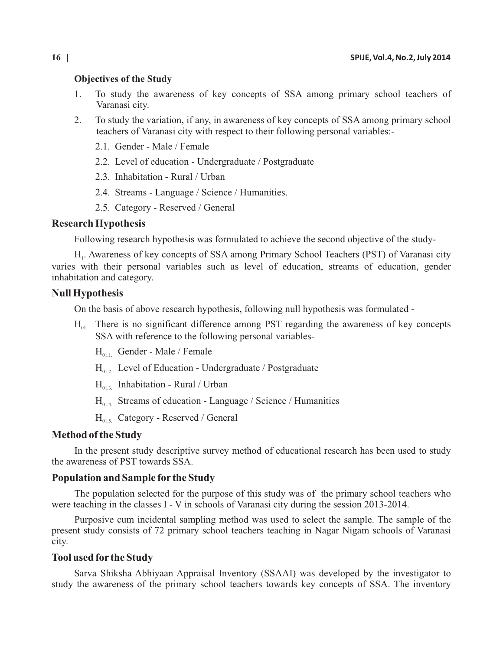#### **Objectives of the Study**

- 1. To study the awareness of key concepts of SSA among primary school teachers of Varanasi city.
- 2. To study the variation, if any, in awareness of key concepts of SSA among primary school teachers of Varanasi city with respect to their following personal variables:-
	- 2.1. Gender Male / Female
	- 2.2. Level of education Undergraduate / Postgraduate
	- 2.3. Inhabitation Rural / Urban
	- 2.4. Streams Language / Science / Humanities.
	- 2.5. Category Reserved / General

#### **Research Hypothesis**

Following research hypothesis was formulated to achieve the second objective of the study-

H<sub>1</sub>. Awareness of key concepts of SSA among Primary School Teachers (PST) of Varanasi city varies with their personal variables such as level of education, streams of education, gender inhabitation and category.

## **Null Hypothesis**

On the basis of above research hypothesis, following null hypothesis was formulated -

- $H_{01}$  There is no significant difference among PST regarding the awareness of key concepts SSA with reference to the following personal variables-
	- $H_{011}$  Gender Male / Female
	- $H_{01}$ . Level of Education Undergraduate / Postgraduate
	- $H_{013}$ . Inhabitation Rural / Urban
	- $H_{014}$  Streams of education Language / Science / Humanities
	- $H_{01.5.}$  Category Reserved / General

## **Method of the Study**

In the present study descriptive survey method of educational research has been used to study the awareness of PST towards SSA.

## **Population and Sample for the Study**

The population selected for the purpose of this study was of the primary school teachers who were teaching in the classes I - V in schools of Varanasi city during the session 2013-2014.

Purposive cum incidental sampling method was used to select the sample. The sample of the present study consists of 72 primary school teachers teaching in Nagar Nigam schools of Varanasi city.

## **Tool used for the Study**

Sarva Shiksha Abhiyaan Appraisal Inventory (SSAAI) was developed by the investigator to study the awareness of the primary school teachers towards key concepts of SSA. The inventory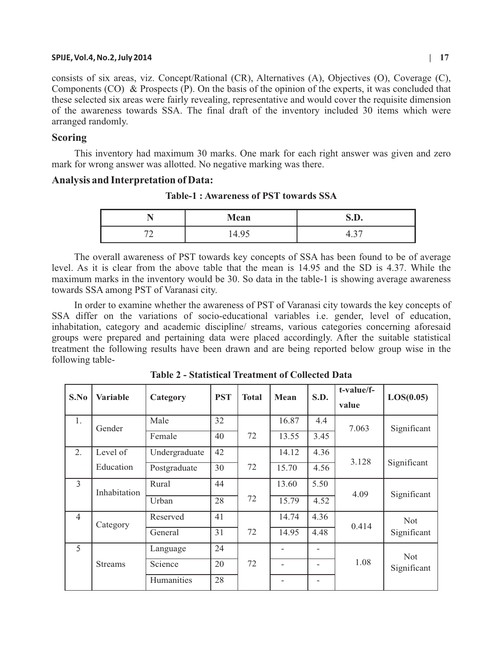#### **SPIJE, Vol.4, No.2, July 2014 | 17**

consists of six areas, viz. Concept/Rational (CR), Alternatives (A), Objectives (O), Coverage (C), Components (CO) & Prospects (P). On the basis of the opinion of the experts, it was concluded that these selected six areas were fairly revealing, representative and would cover the requisite dimension of the awareness towards SSA. The final draft of the inventory included 30 items which were arranged randomly.

## **Scoring**

This inventory had maximum 30 marks. One mark for each right answer was given and zero mark for wrong answer was allotted. No negative marking was there.

## **Analysis and Interpretation of Data:**

|                          | Mean                     | n<br>S.D.     |  |  |
|--------------------------|--------------------------|---------------|--|--|
| $\overline{\phantom{a}}$ | ィー・ノ                     | $\sim$ $\sim$ |  |  |
| ∼                        | $\overline{\phantom{0}}$ |               |  |  |

**Table-1 : Awareness of PST towards SSA**

The overall awareness of PST towards key concepts of SSA has been found to be of average level. As it is clear from the above table that the mean is 14.95 and the SD is 4.37. While the maximum marks in the inventory would be 30. So data in the table-1 is showing average awareness towards SSA among PST of Varanasi city.

In order to examine whether the awareness of PST of Varanasi city towards the key concepts of SSA differ on the variations of socio-educational variables i.e. gender, level of education, inhabitation, category and academic discipline/ streams, various categories concerning aforesaid groups were prepared and pertaining data were placed accordingly. After the suitable statistical treatment the following results have been drawn and are being reported below group wise in the following table-

| S.No           | <b>Variable</b> | Category      | <b>PST</b> | <b>Total</b> | Mean  | <b>S.D.</b> | t-value/f-<br>value | LOS(0.05)                 |
|----------------|-----------------|---------------|------------|--------------|-------|-------------|---------------------|---------------------------|
| 1.             | Gender          | Male          | 32         |              | 16.87 | 4.4         | 7.063               | Significant               |
|                |                 | Female        | 40         | 72           | 13.55 | 3.45        |                     |                           |
| 2.             | Level of        | Undergraduate | 42         |              | 14.12 | 4.36        | 3.128               | Significant               |
|                | Education       | Postgraduate  | 30         | 72           | 15.70 | 4.56        |                     |                           |
| 3              | Inhabitation    | Rural         | 44         |              | 13.60 | 5.50        |                     |                           |
|                |                 | Urban         | 28         | 72           | 15.79 | 4.52        | 4.09                | Significant               |
| $\overline{4}$ | Category        | Reserved      | 41         |              | 14.74 | 4.36        | 0.414               | <b>Not</b><br>Significant |
|                |                 | General       | 31         | 72           | 14.95 | 4.48        |                     |                           |
| 5              |                 | Language      | 24         |              |       |             |                     | <b>Not</b>                |
|                | <b>Streams</b>  | Science       | 20         | 72           |       |             | 1.08                | Significant               |
|                |                 | Humanities    | 28         |              |       |             |                     |                           |

**Table 2 - Statistical Treatment of Collected Data**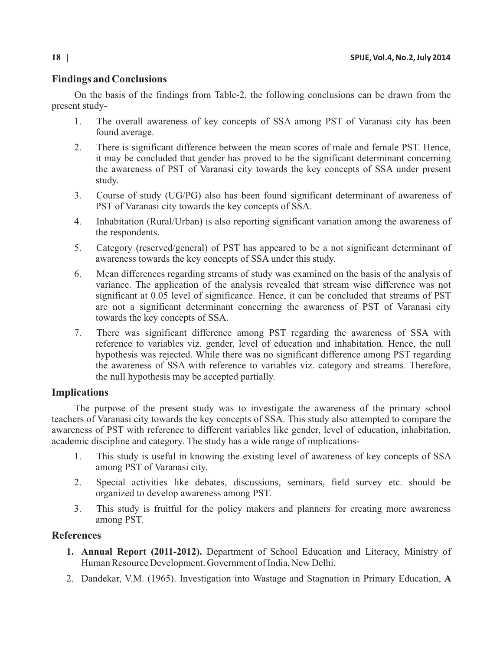# **Findings and Conclusions**

On the basis of the findings from Table-2, the following conclusions can be drawn from the present study-

- 1. The overall awareness of key concepts of SSA among PST of Varanasi city has been found average.
- 2. There is significant difference between the mean scores of male and female PST. Hence, it may be concluded that gender has proved to be the significant determinant concerning the awareness of PST of Varanasi city towards the key concepts of SSA under present study.
- 3. Course of study (UG/PG) also has been found significant determinant of awareness of PST of Varanasi city towards the key concepts of SSA.
- 4. Inhabitation (Rural/Urban) is also reporting significant variation among the awareness of the respondents.
- 5. Category (reserved/general) of PST has appeared to be a not significant determinant of awareness towards the key concepts of SSA under this study.
- 6. Mean differences regarding streams of study was examined on the basis of the analysis of variance. The application of the analysis revealed that stream wise difference was not significant at 0.05 level of significance. Hence, it can be concluded that streams of PST are not a significant determinant concerning the awareness of PST of Varanasi city towards the key concepts of SSA.
- 7. There was significant difference among PST regarding the awareness of SSA with reference to variables viz. gender, level of education and inhabitation. Hence, the null hypothesis was rejected. While there was no significant difference among PST regarding the awareness of SSA with reference to variables viz. category and streams. Therefore, the null hypothesis may be accepted partially.

# **Implications**

The purpose of the present study was to investigate the awareness of the primary school teachers of Varanasi city towards the key concepts of SSA. This study also attempted to compare the awareness of PST with reference to different variables like gender, level of education, inhabitation, academic discipline and category. The study has a wide range of implications-

- 1. This study is useful in knowing the existing level of awareness of key concepts of SSA among PST of Varanasi city.
- 2. Special activities like debates, discussions, seminars, field survey etc. should be organized to develop awareness among PST.
- 3. This study is fruitful for the policy makers and planners for creating more awareness among PST.

# **References**

- **1. Annual Report (2011-2012).** Department of School Education and Literacy, Ministry of Human Resource Development. Government of India, New Delhi.
- 2. Dandekar, V.M. (1965). Investigation into Wastage and Stagnation in Primary Education, **A**